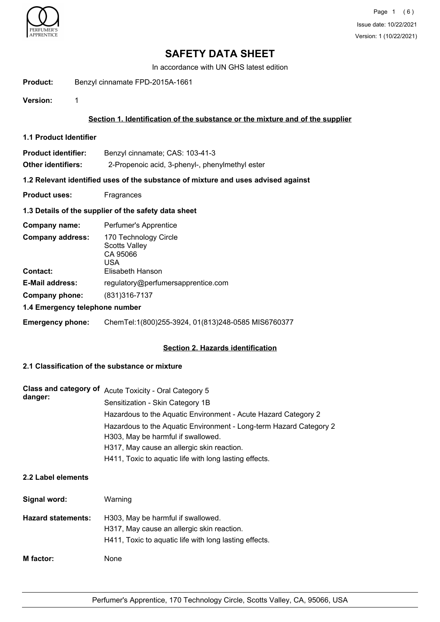

# **SAFETY DATA SHEET**

In accordance with UN GHS latest edition

**Product:** Benzyl cinnamate FPD-2015A-1661

**Version:** 1

# **Section 1. Identification of the substance or the mixture and of the supplier**

**1.1 Product Identifier**

| <b>Product identifier:</b> | Benzyl cinnamate; CAS: 103-41-3                 |
|----------------------------|-------------------------------------------------|
| Other identifiers:         | 2-Propenoic acid, 3-phenyl-, phenylmethyl ester |

## **1.2 Relevant identified uses of the substance of mixture and uses advised against**

**Product uses:** Fragrances

## **1.3 Details of the supplier of the safety data sheet**

| Company name:                  | Perfumer's Apprentice                                            |  |
|--------------------------------|------------------------------------------------------------------|--|
| <b>Company address:</b>        | 170 Technology Circle<br><b>Scotts Valley</b><br>CA 95066<br>USA |  |
| <b>Contact:</b>                | Elisabeth Hanson                                                 |  |
| <b>E-Mail address:</b>         | regulatory@perfumersapprentice.com                               |  |
| Company phone:                 | (831) 316-7137                                                   |  |
| 1.4 Emergency telephone number |                                                                  |  |

## **Emergency phone:** ChemTel:1(800)255-3924, 01(813)248-0585 MIS6760377

## **Section 2. Hazards identification**

# **2.1 Classification of the substance or mixture**

| danger: | Class and category of Acute Toxicity - Oral Category 5             |
|---------|--------------------------------------------------------------------|
|         | Sensitization - Skin Category 1B                                   |
|         | Hazardous to the Aquatic Environment - Acute Hazard Category 2     |
|         | Hazardous to the Aquatic Environment - Long-term Hazard Category 2 |
|         | H303, May be harmful if swallowed.                                 |
|         | H317, May cause an allergic skin reaction.                         |
|         | H411, Toxic to aquatic life with long lasting effects.             |

# **2.2 Label elements**

| Signal word:              | Warning                                                                                                                                    |
|---------------------------|--------------------------------------------------------------------------------------------------------------------------------------------|
| <b>Hazard statements:</b> | H303, May be harmful if swallowed.<br>H317, May cause an allergic skin reaction.<br>H411, Toxic to aquatic life with long lasting effects. |
| <b>M</b> factor:          | None                                                                                                                                       |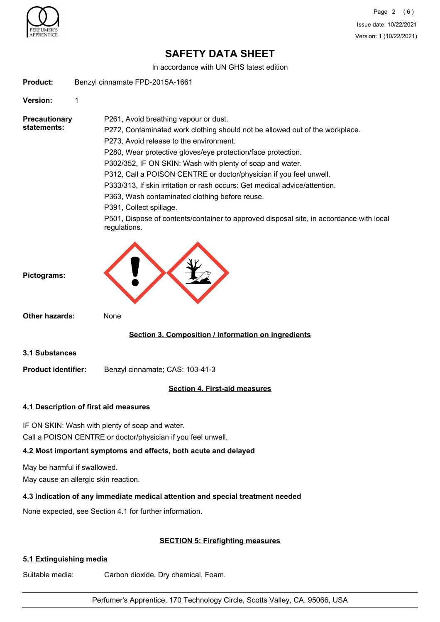

# **SAFETY DATA SHEET**

In accordance with UN GHS latest edition

**Product:** Benzyl cinnamate FPD-2015A-1661

**Version:** 1

**Precautionary statements:**

P261, Avoid breathing vapour or dust. P272, Contaminated work clothing should not be allowed out of the workplace. P273, Avoid release to the environment. P280, Wear protective gloves/eye protection/face protection. P302/352, IF ON SKIN: Wash with plenty of soap and water. P312, Call a POISON CENTRE or doctor/physician if you feel unwell. P333/313, If skin irritation or rash occurs: Get medical advice/attention. P363, Wash contaminated clothing before reuse. P391, Collect spillage.

P501, Dispose of contents/container to approved disposal site, in accordance with local regulations.



**Other hazards:** None

# **Section 3. Composition / information on ingredients**

**3.1 Substances**

**Product identifier:** Benzyl cinnamate; CAS: 103-41-3

# **Section 4. First-aid measures**

## **4.1 Description of first aid measures**

IF ON SKIN: Wash with plenty of soap and water.

Call a POISON CENTRE or doctor/physician if you feel unwell.

# **4.2 Most important symptoms and effects, both acute and delayed**

May be harmful if swallowed.

May cause an allergic skin reaction.

# **4.3 Indication of any immediate medical attention and special treatment needed**

None expected, see Section 4.1 for further information.

# **SECTION 5: Firefighting measures**

# **5.1 Extinguishing media**

Suitable media: Carbon dioxide, Dry chemical, Foam.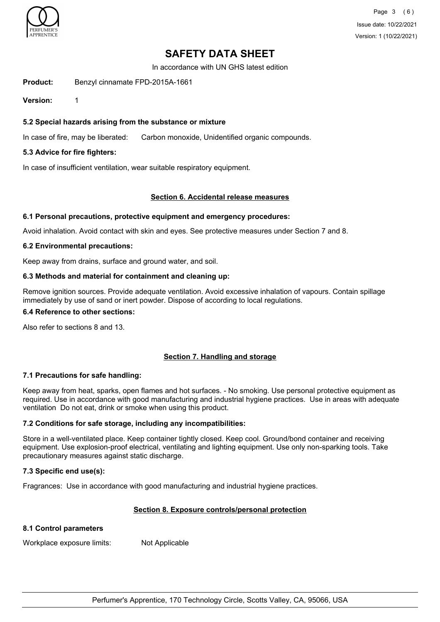

Page 3 (6) Issue date: 10/22/2021 Version: 1 (10/22/2021)

# **SAFETY DATA SHEET**

In accordance with UN GHS latest edition

**Product:** Benzyl cinnamate FPD-2015A-1661

**Version:** 1

## **5.2 Special hazards arising from the substance or mixture**

In case of fire, may be liberated: Carbon monoxide, Unidentified organic compounds.

#### **5.3 Advice for fire fighters:**

In case of insufficient ventilation, wear suitable respiratory equipment.

#### **Section 6. Accidental release measures**

#### **6.1 Personal precautions, protective equipment and emergency procedures:**

Avoid inhalation. Avoid contact with skin and eyes. See protective measures under Section 7 and 8.

#### **6.2 Environmental precautions:**

Keep away from drains, surface and ground water, and soil.

#### **6.3 Methods and material for containment and cleaning up:**

Remove ignition sources. Provide adequate ventilation. Avoid excessive inhalation of vapours. Contain spillage immediately by use of sand or inert powder. Dispose of according to local regulations.

# **6.4 Reference to other sections:**

Also refer to sections 8 and 13.

## **Section 7. Handling and storage**

#### **7.1 Precautions for safe handling:**

Keep away from heat, sparks, open flames and hot surfaces. - No smoking. Use personal protective equipment as required. Use in accordance with good manufacturing and industrial hygiene practices. Use in areas with adequate ventilation Do not eat, drink or smoke when using this product.

## **7.2 Conditions for safe storage, including any incompatibilities:**

Store in a well-ventilated place. Keep container tightly closed. Keep cool. Ground/bond container and receiving equipment. Use explosion-proof electrical, ventilating and lighting equipment. Use only non-sparking tools. Take precautionary measures against static discharge.

#### **7.3 Specific end use(s):**

Fragrances: Use in accordance with good manufacturing and industrial hygiene practices.

## **Section 8. Exposure controls/personal protection**

#### **8.1 Control parameters**

Workplace exposure limits: Not Applicable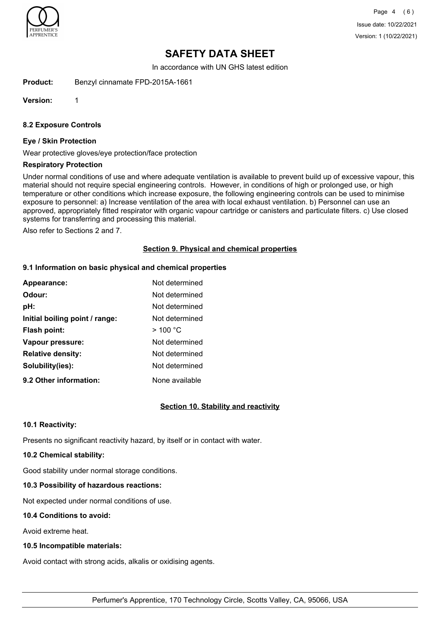

Page 4 (6) Issue date: 10/22/2021 Version: 1 (10/22/2021)

# **SAFETY DATA SHEET**

In accordance with UN GHS latest edition

**Product:** Benzyl cinnamate FPD-2015A-1661

**Version:** 1

**8.2 Exposure Controls**

#### **Eye / Skin Protection**

Wear protective gloves/eye protection/face protection

#### **Respiratory Protection**

Under normal conditions of use and where adequate ventilation is available to prevent build up of excessive vapour, this material should not require special engineering controls. However, in conditions of high or prolonged use, or high temperature or other conditions which increase exposure, the following engineering controls can be used to minimise exposure to personnel: a) Increase ventilation of the area with local exhaust ventilation. b) Personnel can use an approved, appropriately fitted respirator with organic vapour cartridge or canisters and particulate filters. c) Use closed systems for transferring and processing this material.

Also refer to Sections 2 and 7.

## **Section 9. Physical and chemical properties**

#### **9.1 Information on basic physical and chemical properties**

| Appearance:                    | Not determined |
|--------------------------------|----------------|
| Odour:                         | Not determined |
| pH:                            | Not determined |
| Initial boiling point / range: | Not determined |
| <b>Flash point:</b>            | $>$ 100 °C     |
| Vapour pressure:               | Not determined |
| <b>Relative density:</b>       | Not determined |
| Solubility(ies):               | Not determined |
| 9.2 Other information:         | None available |

## **Section 10. Stability and reactivity**

#### **10.1 Reactivity:**

Presents no significant reactivity hazard, by itself or in contact with water.

# **10.2 Chemical stability:**

Good stability under normal storage conditions.

# **10.3 Possibility of hazardous reactions:**

Not expected under normal conditions of use.

# **10.4 Conditions to avoid:**

Avoid extreme heat.

# **10.5 Incompatible materials:**

Avoid contact with strong acids, alkalis or oxidising agents.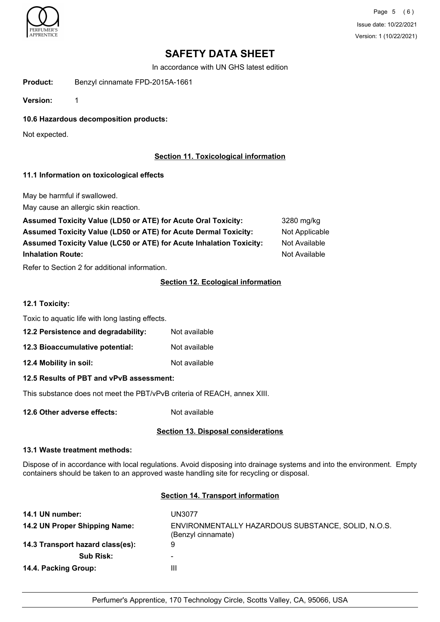

Page 5 (6) Issue date: 10/22/2021 Version: 1 (10/22/2021)

# **SAFETY DATA SHEET**

In accordance with UN GHS latest edition

**Product:** Benzyl cinnamate FPD-2015A-1661

**Version:** 1

**10.6 Hazardous decomposition products:**

Not expected.

# **Section 11. Toxicological information**

## **11.1 Information on toxicological effects**

May be harmful if swallowed.

May cause an allergic skin reaction.

| Assumed Toxicity Value (LD50 or ATE) for Acute Oral Toxicity:          | 3280 mg/kg     |
|------------------------------------------------------------------------|----------------|
| <b>Assumed Toxicity Value (LD50 or ATE) for Acute Dermal Toxicity:</b> | Not Applicable |
| Assumed Toxicity Value (LC50 or ATE) for Acute Inhalation Toxicity:    | Not Available  |
| <b>Inhalation Route:</b>                                               | Not Available  |

Refer to Section 2 for additional information.

# **Section 12. Ecological information**

# **12.1 Toxicity:**

Toxic to aquatic life with long lasting effects.

- **12.2 Persistence and degradability:** Not available
- **12.3 Bioaccumulative potential:** Not available
- **12.4 Mobility in soil:** Not available

## **12.5 Results of PBT and vPvB assessment:**

This substance does not meet the PBT/vPvB criteria of REACH, annex XIII.

**12.6 Other adverse effects:** Not available

## **Section 13. Disposal considerations**

#### **13.1 Waste treatment methods:**

Dispose of in accordance with local regulations. Avoid disposing into drainage systems and into the environment. Empty containers should be taken to an approved waste handling site for recycling or disposal.

#### **Section 14. Transport information**

| 14.1 UN number:                  | <b>UN3077</b>                                                            |
|----------------------------------|--------------------------------------------------------------------------|
| 14.2 UN Proper Shipping Name:    | ENVIRONMENTALLY HAZARDOUS SUBSTANCE, SOLID, N.O.S.<br>(Benzyl cinnamate) |
| 14.3 Transport hazard class(es): | 9                                                                        |
| <b>Sub Risk:</b>                 | ۰                                                                        |
| 14.4. Packing Group:             | Ш                                                                        |